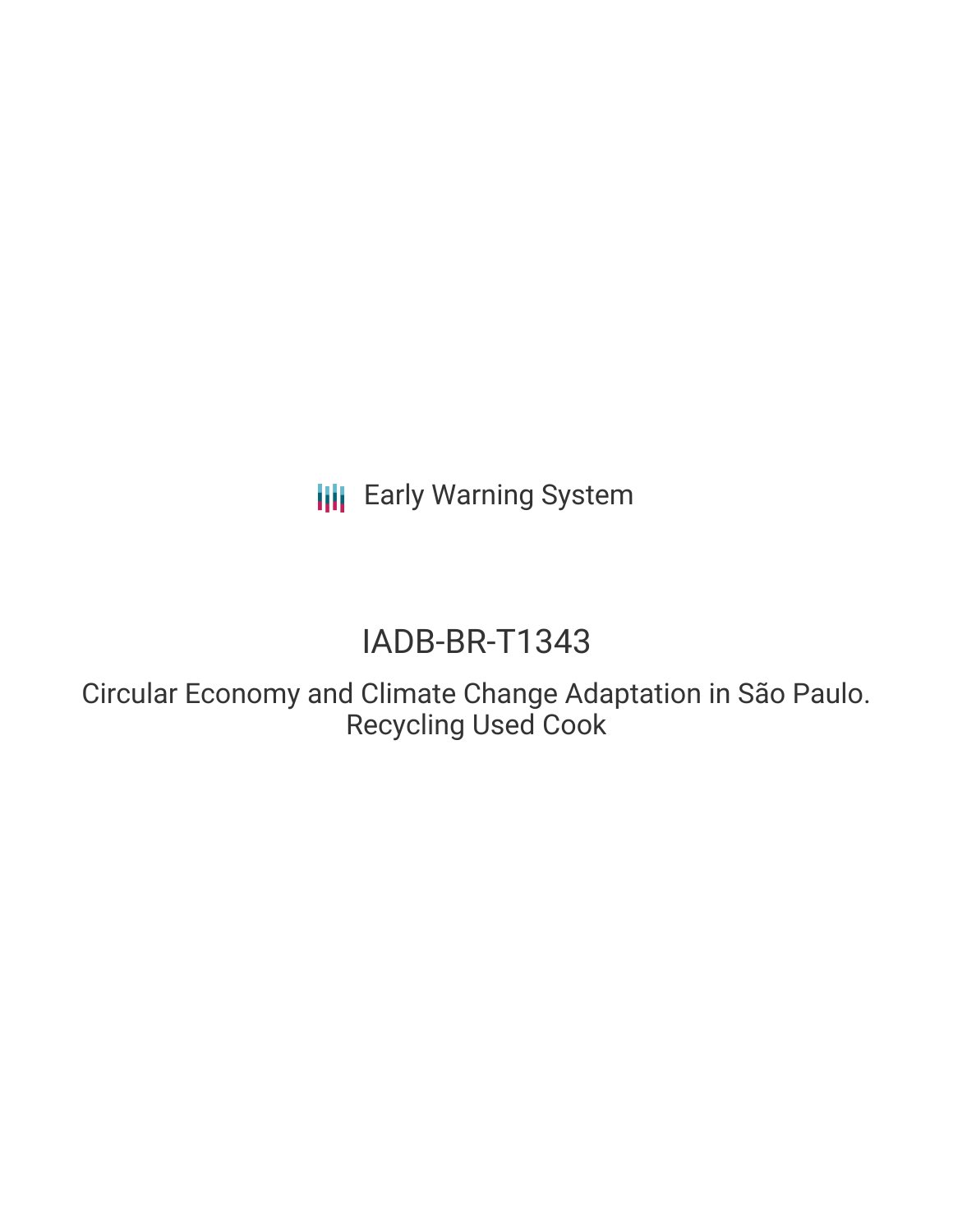**III** Early Warning System

# IADB-BR-T1343

Circular Economy and Climate Change Adaptation in São Paulo. Recycling Used Cook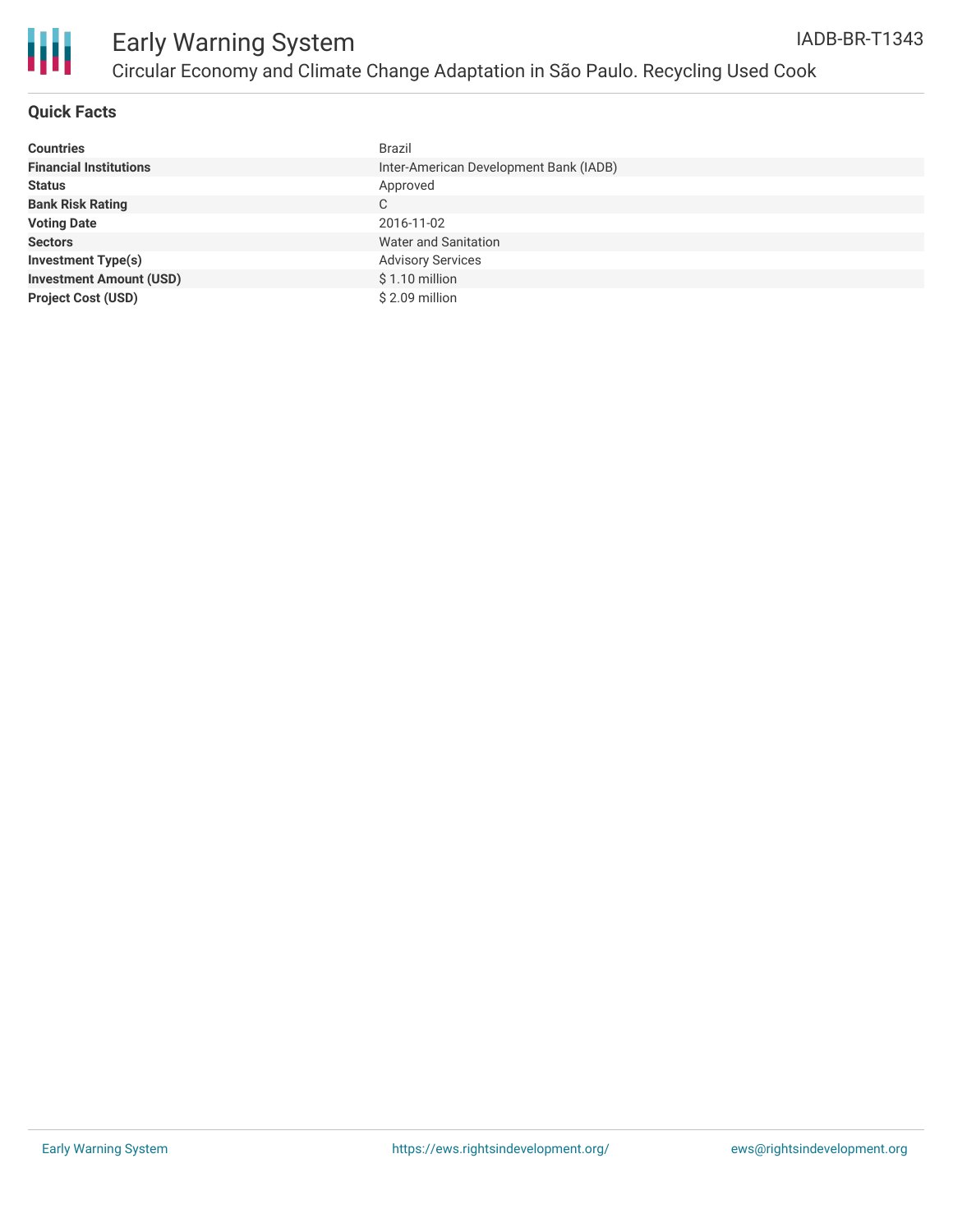

### **Quick Facts**

| <b>Countries</b>               | <b>Brazil</b>                          |
|--------------------------------|----------------------------------------|
| <b>Financial Institutions</b>  | Inter-American Development Bank (IADB) |
| <b>Status</b>                  | Approved                               |
| <b>Bank Risk Rating</b>        | C                                      |
| <b>Voting Date</b>             | 2016-11-02                             |
| <b>Sectors</b>                 | Water and Sanitation                   |
| <b>Investment Type(s)</b>      | <b>Advisory Services</b>               |
| <b>Investment Amount (USD)</b> | $$1.10$ million                        |
| <b>Project Cost (USD)</b>      | \$2.09 million                         |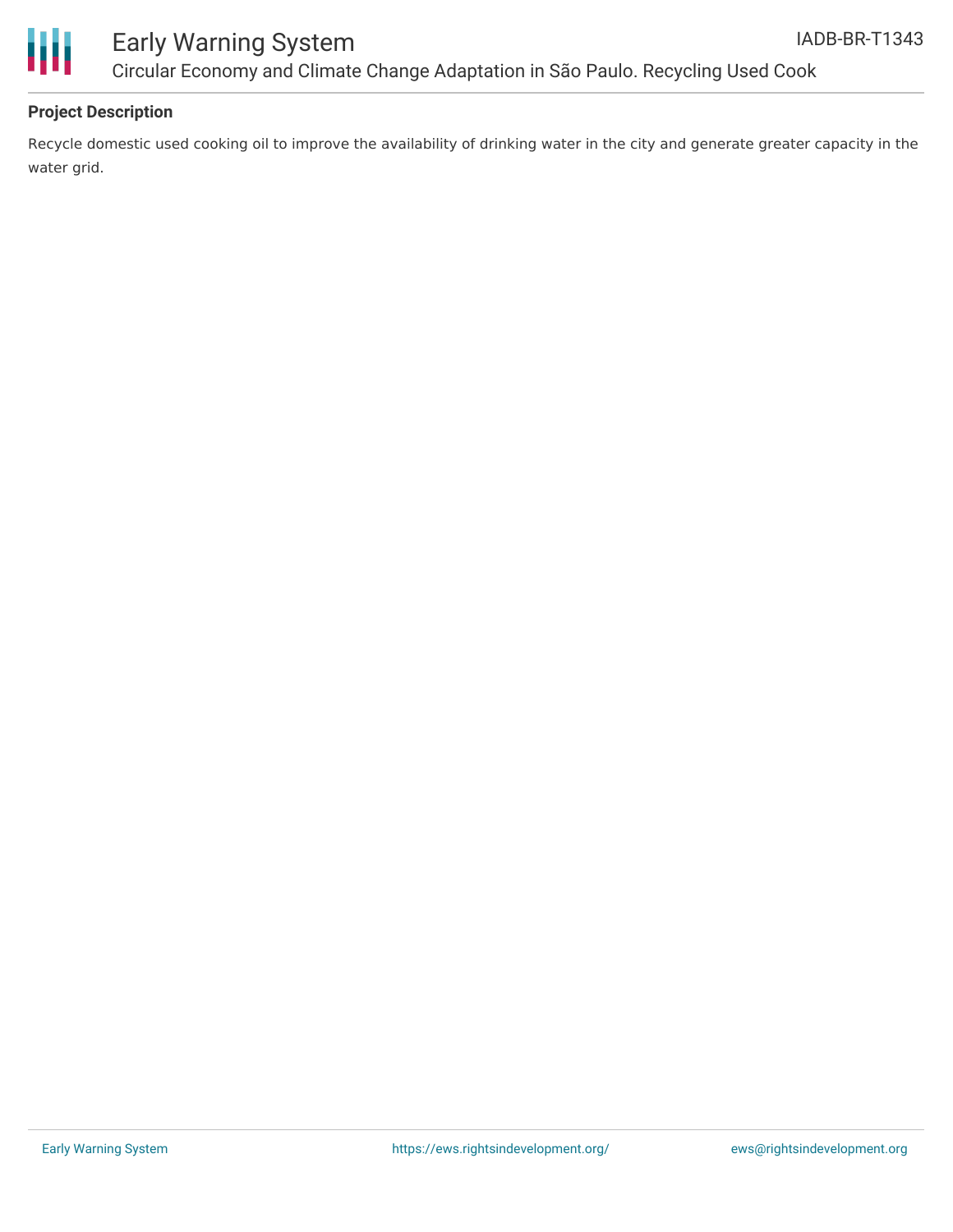



### Early Warning System Circular Economy and Climate Change Adaptation in São Paulo. Recycling Used Cook

### **Project Description**

Recycle domestic used cooking oil to improve the availability of drinking water in the city and generate greater capacity in the water grid.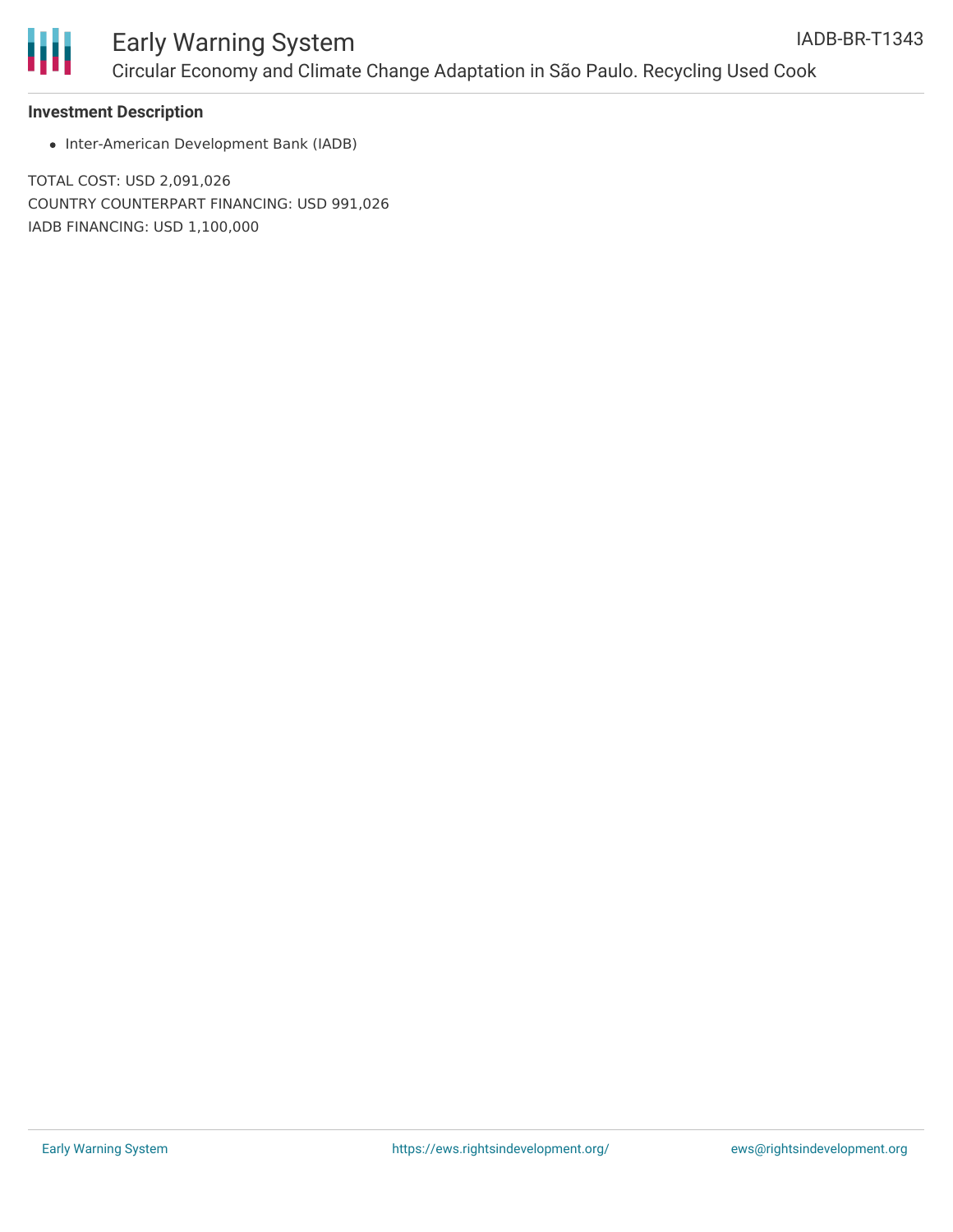

## Early Warning System Circular Economy and Climate Change Adaptation in São Paulo. Recycling Used Cook

#### **Investment Description**

• Inter-American Development Bank (IADB)

TOTAL COST: USD 2,091,026 COUNTRY COUNTERPART FINANCING: USD 991,026 IADB FINANCING: USD 1,100,000